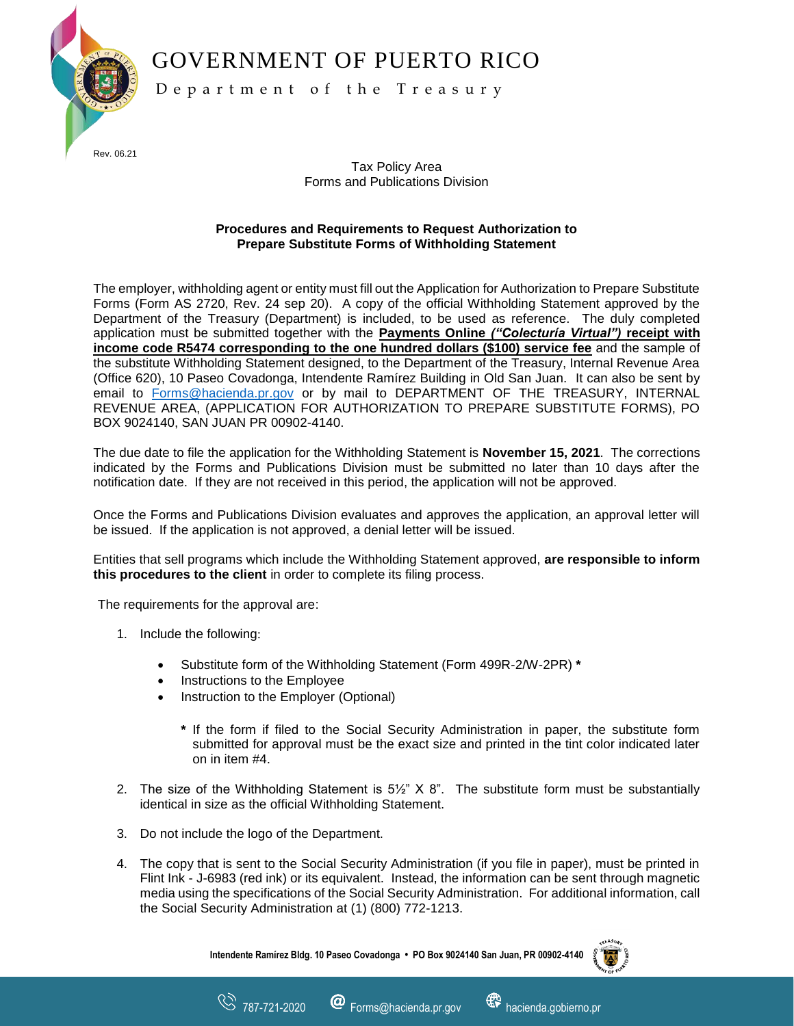GOVERNMENT OF PUERTO RICO



D e p a r t m e n t o f t h e T r e a s u r y

Tax Policy Area Forms and Publications Division

## **Procedures and Requirements to Request Authorization to Prepare Substitute Forms of Withholding Statement**

The employer, withholding agent or entity must fill out the Application for Authorization to Prepare Substitute Forms (Form AS 2720, Rev. 24 sep 20). A copy of the official Withholding Statement approved by the Department of the Treasury (Department) is included, to be used as reference. The duly completed application must be submitted together with the **Payments Online** *("Colecturía Virtual")* **receipt with income code R5474 corresponding to the one hundred dollars (\$100) service fee** and the sample of the substitute Withholding Statement designed, to the Department of the Treasury, Internal Revenue Area (Office 620), 10 Paseo Covadonga, Intendente Ramírez Building in Old San Juan. It can also be sent by email to [Forms@hacienda.pr.gov](mailto:Forms@hacienda.pr.gov) or by mail to DEPARTMENT OF THE TREASURY, INTERNAL REVENUE AREA, (APPLICATION FOR AUTHORIZATION TO PREPARE SUBSTITUTE FORMS), PO BOX 9024140, SAN JUAN PR 00902-4140.

The due date to file the application for the Withholding Statement is **November 15, 2021**. The corrections indicated by the Forms and Publications Division must be submitted no later than 10 days after the notification date. If they are not received in this period, the application will not be approved.

Once the Forms and Publications Division evaluates and approves the application, an approval letter will be issued. If the application is not approved, a denial letter will be issued.

Entities that sell programs which include the Withholding Statement approved, **are responsible to inform this procedures to the client** in order to complete its filing process.

The requirements for the approval are:

- 1. Include the following:
	- Substitute form of the Withholding Statement (Form 499R-2/W-2PR) **\***
	- Instructions to the Employee
	- Instruction to the Employer (Optional)
		- **\*** If the form if filed to the Social Security Administration in paper, the substitute form submitted for approval must be the exact size and printed in the tint color indicated later on in item #4.
- 2. The size of the Withholding Statement is  $5\frac{1}{2}$ " X 8". The substitute form must be substantially identical in size as the official Withholding Statement.
- 3. Do not include the logo of the Department.
- 4. The copy that is sent to the Social Security Administration (if you file in paper), must be printed in Flint Ink - J-6983 (red ink) or its equivalent. Instead, the information can be sent through magnetic media using the specifications of the Social Security Administration. For additional information, call the Social Security Administration at (1) (800) 772-1213.

**Intendente Ramírez Bldg. 10 Paseo Covadonga • PO Box 9024140 San Juan, PR 00902-4140**

www.html 787-721-2020 **@** Forms@hacienda.pr.gov **@** hacienda.gobierno.pr